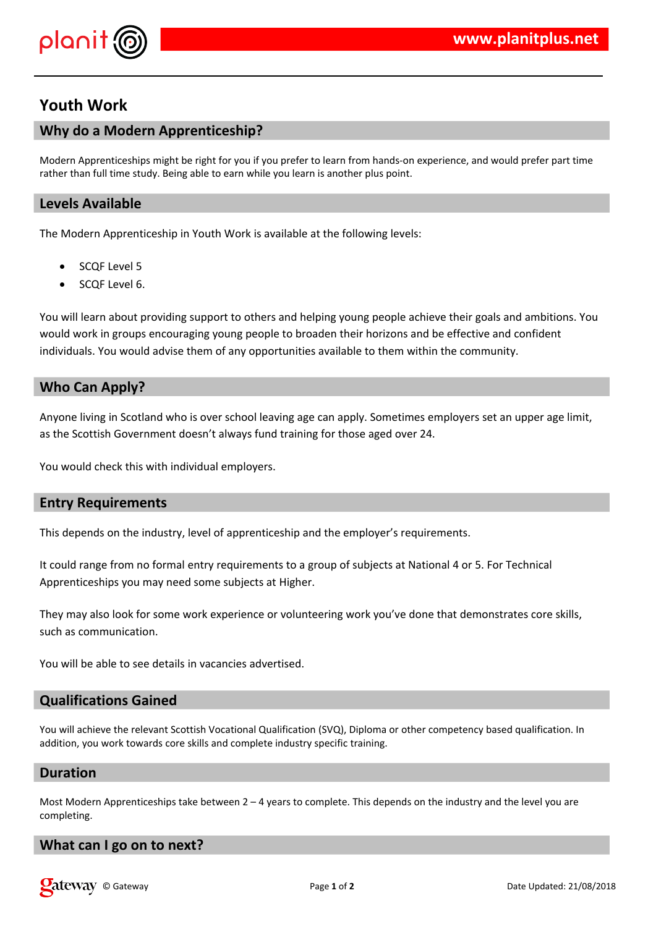

# **Youth Work**

# **Why do a Modern Apprenticeship?**

Modern Apprenticeships might be right for you if you prefer to learn from hands-on experience, and would prefer part time rather than full time study. Being able to earn while you learn is another plus point.

# **Levels Available**

The Modern Apprenticeship in Youth Work is available at the following levels:

- SCQF Level 5
- SCQF Level 6.

You will learn about providing support to others and helping young people achieve their goals and ambitions. You would work in groups encouraging young people to broaden their horizons and be effective and confident individuals. You would advise them of any opportunities available to them within the community.

# **Who Can Apply?**

Anyone living in Scotland who is over school leaving age can apply. Sometimes employers set an upper age limit, as the Scottish Government doesn't always fund training for those aged over 24.

You would check this with individual employers.

# **Entry Requirements**

This depends on the industry, level of apprenticeship and the employer's requirements.

It could range from no formal entry requirements to a group of subjects at National 4 or 5. For Technical Apprenticeships you may need some subjects at Higher.

They may also look for some work experience or volunteering work you've done that demonstrates core skills, such as communication.

You will be able to see details in vacancies advertised.

### **Qualifications Gained**

You will achieve the relevant Scottish Vocational Qualification (SVQ), Diploma or other competency based qualification. In addition, you work towards core skills and complete industry specific training.

#### **Duration**

Most Modern Apprenticeships take between  $2 - 4$  years to complete. This depends on the industry and the level you are completing.

### **What can I go on to next?**